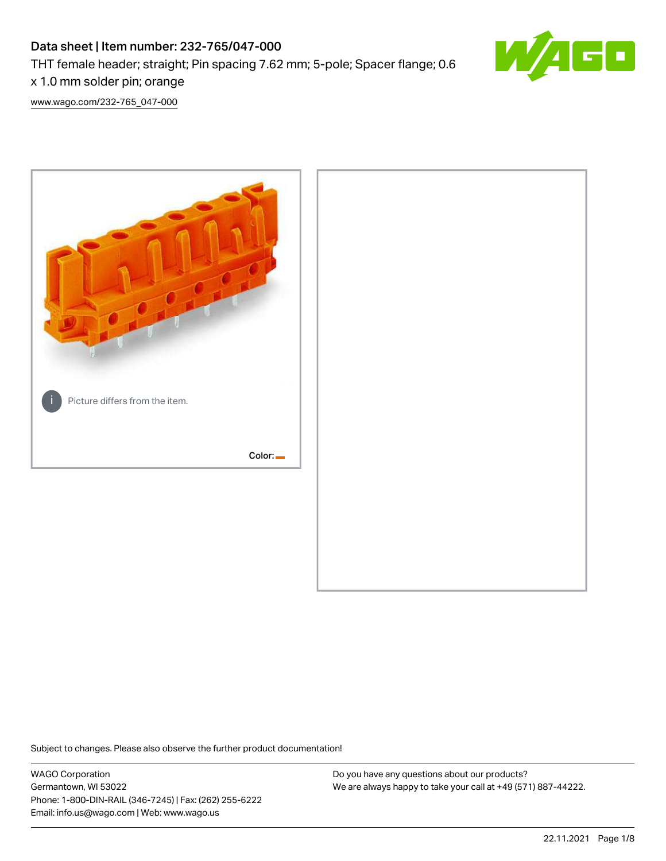# Data sheet | Item number: 232-765/047-000 THT female header; straight; Pin spacing 7.62 mm; 5-pole; Spacer flange; 0.6 x 1.0 mm solder pin; orange



[www.wago.com/232-765\\_047-000](http://www.wago.com/232-765_047-000)



Subject to changes. Please also observe the further product documentation!

WAGO Corporation Germantown, WI 53022 Phone: 1-800-DIN-RAIL (346-7245) | Fax: (262) 255-6222 Email: info.us@wago.com | Web: www.wago.us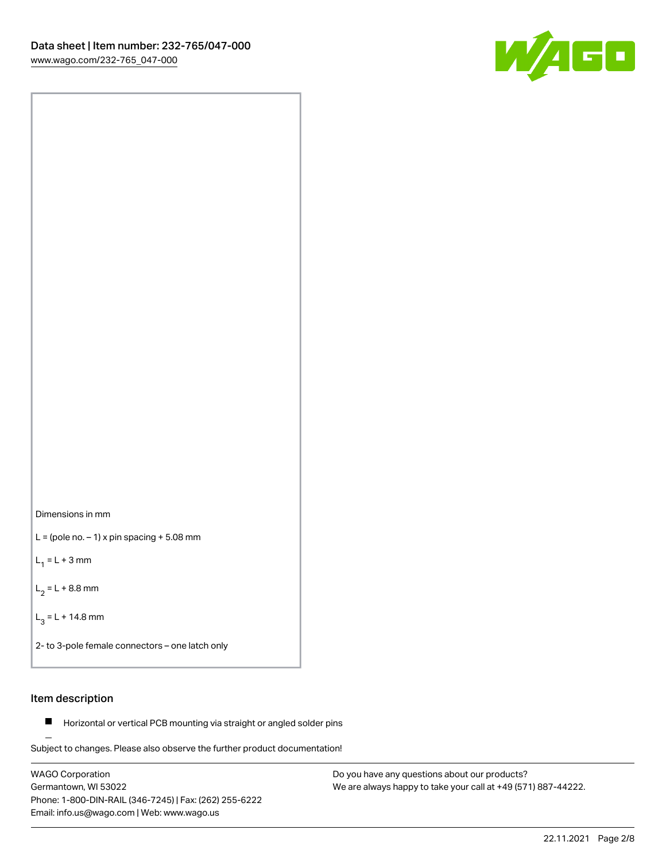

Dimensions in mm

 $L =$  (pole no.  $-1$ ) x pin spacing  $+5.08$  mm

 $L_1 = L + 3$  mm

 $L_2 = L + 8.8$  mm

 $L_3 = L + 14.8$  mm

2- to 3-pole female connectors – one latch only

### Item description

**Horizontal or vertical PCB mounting via straight or angled solder pins** 

Subject to changes. Please also observe the further product documentation! For board-to-board and board-to-wire connections

WAGO Corporation Germantown, WI 53022 Phone: 1-800-DIN-RAIL (346-7245) | Fax: (262) 255-6222 Email: info.us@wago.com | Web: www.wago.us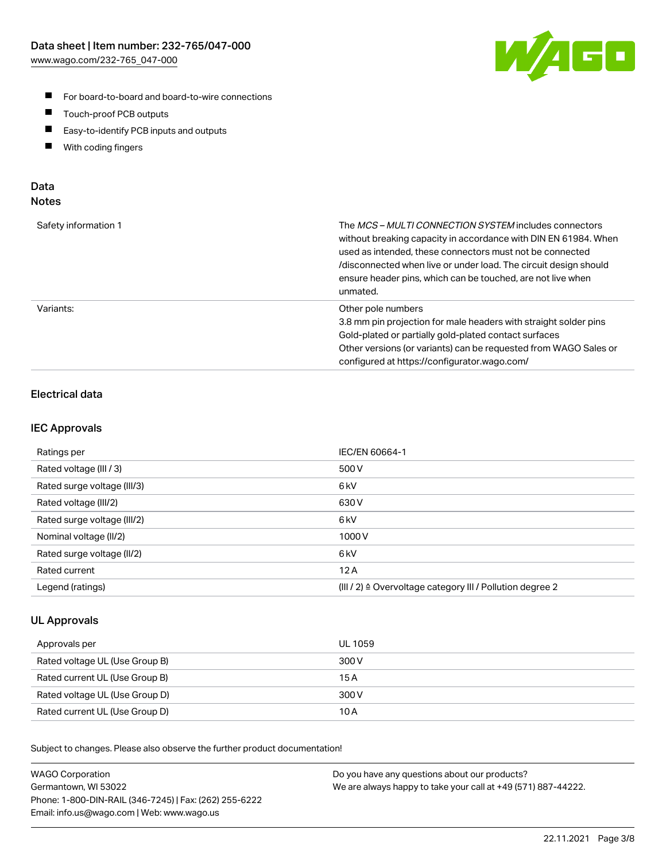

- For board-to-board and board-to-wire connections
- $\blacksquare$ Touch-proof PCB outputs
- $\blacksquare$ Easy-to-identify PCB inputs and outputs
- $\blacksquare$ With coding fingers

### Data **Notes**

| Safety information 1 | The <i>MCS – MULTI CONNECTION SYSTEM</i> includes connectors<br>without breaking capacity in accordance with DIN EN 61984. When<br>used as intended, these connectors must not be connected<br>/disconnected when live or under load. The circuit design should<br>ensure header pins, which can be touched, are not live when<br>unmated. |
|----------------------|--------------------------------------------------------------------------------------------------------------------------------------------------------------------------------------------------------------------------------------------------------------------------------------------------------------------------------------------|
| Variants:            | Other pole numbers<br>3.8 mm pin projection for male headers with straight solder pins<br>Gold-plated or partially gold-plated contact surfaces<br>Other versions (or variants) can be requested from WAGO Sales or<br>configured at https://configurator.wago.com/                                                                        |

# Electrical data

### IEC Approvals

| Ratings per                 | IEC/EN 60664-1                                                        |
|-----------------------------|-----------------------------------------------------------------------|
| Rated voltage (III / 3)     | 500 V                                                                 |
| Rated surge voltage (III/3) | 6 <sub>kV</sub>                                                       |
| Rated voltage (III/2)       | 630 V                                                                 |
| Rated surge voltage (III/2) | 6 <sub>kV</sub>                                                       |
| Nominal voltage (II/2)      | 1000 V                                                                |
| Rated surge voltage (II/2)  | 6 <sub>kV</sub>                                                       |
| Rated current               | 12A                                                                   |
| Legend (ratings)            | $(III / 2)$ $\triangle$ Overvoltage category III / Pollution degree 2 |

### UL Approvals

| Approvals per                  | UL 1059 |
|--------------------------------|---------|
| Rated voltage UL (Use Group B) | 300 V   |
| Rated current UL (Use Group B) | 15 A    |
| Rated voltage UL (Use Group D) | 300 V   |
| Rated current UL (Use Group D) | 10 A    |

Subject to changes. Please also observe the further product documentation!

| <b>WAGO Corporation</b>                                | Do you have any questions about our products?                 |
|--------------------------------------------------------|---------------------------------------------------------------|
| Germantown, WI 53022                                   | We are always happy to take your call at +49 (571) 887-44222. |
| Phone: 1-800-DIN-RAIL (346-7245)   Fax: (262) 255-6222 |                                                               |
| Email: info.us@wago.com   Web: www.wago.us             |                                                               |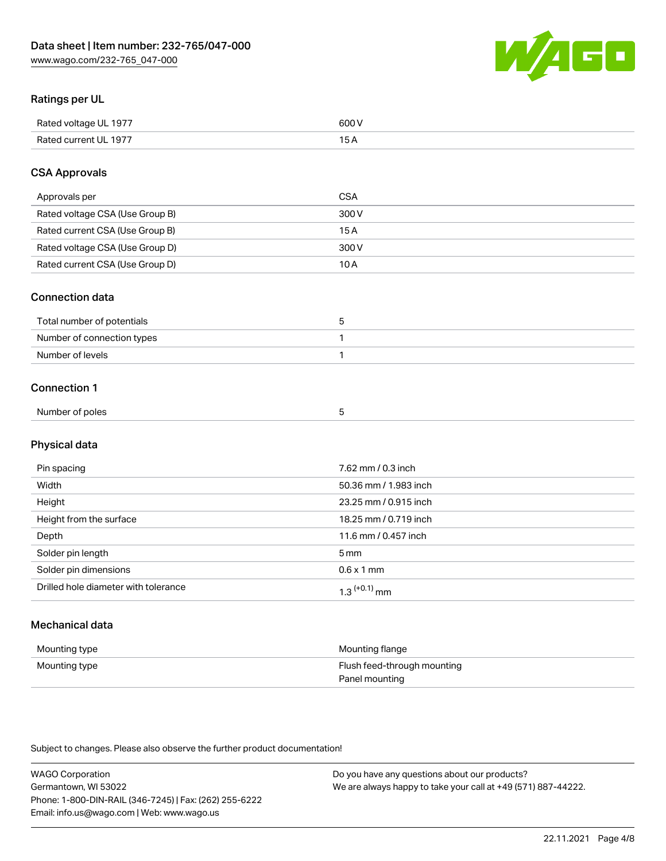

### Ratings per UL

| Rated voltage UL 1977 | 600 \<br>.   |
|-----------------------|--------------|
| Rated current UL 1977 | . . <i>.</i> |

### CSA Approvals

| Approvals per                   | CSA   |
|---------------------------------|-------|
| Rated voltage CSA (Use Group B) | 300 V |
| Rated current CSA (Use Group B) | 15 A  |
| Rated voltage CSA (Use Group D) | 300 V |
| Rated current CSA (Use Group D) | 10 A  |

### Connection data

| Total number of potentials |  |
|----------------------------|--|
| Number of connection types |  |
| Number of levels           |  |

### Connection 1

| Number of poles |  |  |
|-----------------|--|--|
|                 |  |  |

# Physical data

| Pin spacing                          | 7.62 mm / 0.3 inch    |
|--------------------------------------|-----------------------|
| Width                                | 50.36 mm / 1.983 inch |
| Height                               | 23.25 mm / 0.915 inch |
| Height from the surface              | 18.25 mm / 0.719 inch |
| Depth                                | 11.6 mm / 0.457 inch  |
| Solder pin length                    | 5 <sub>mm</sub>       |
| Solder pin dimensions                | $0.6 \times 1$ mm     |
| Drilled hole diameter with tolerance | $1.3$ $(+0.1)$ mm     |

# Mechanical data

| Mounting type | Mounting flange             |
|---------------|-----------------------------|
| Mounting type | Flush feed-through mounting |
|               | Panel mounting              |

Subject to changes. Please also observe the further product documentation!

| <b>WAGO Corporation</b>                                | Do you have any questions about our products?                 |
|--------------------------------------------------------|---------------------------------------------------------------|
| Germantown, WI 53022                                   | We are always happy to take your call at +49 (571) 887-44222. |
| Phone: 1-800-DIN-RAIL (346-7245)   Fax: (262) 255-6222 |                                                               |
| Email: info.us@wago.com   Web: www.wago.us             |                                                               |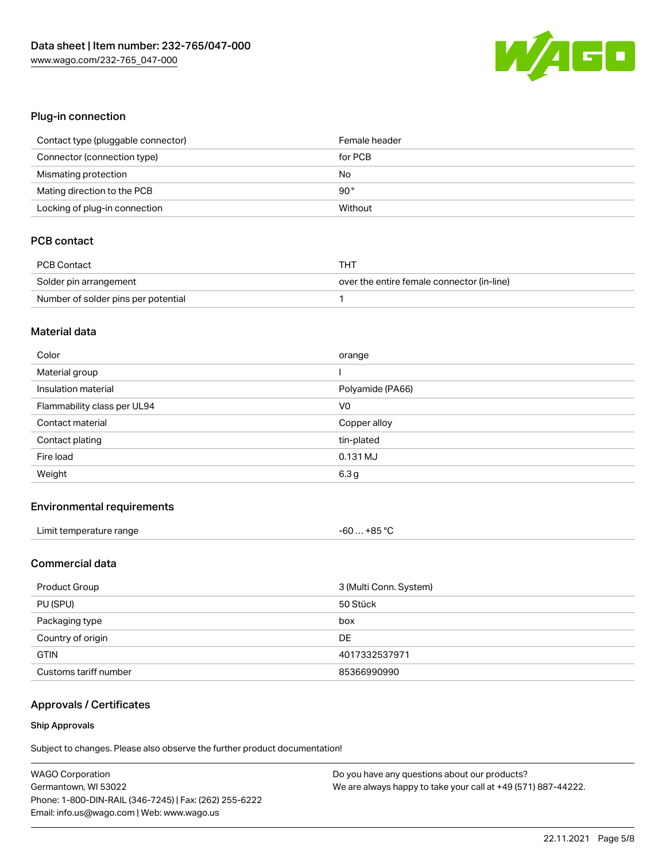

### Plug-in connection

| Contact type (pluggable connector) | Female header |
|------------------------------------|---------------|
| Connector (connection type)        | for PCB       |
| Mismating protection               | No            |
| Mating direction to the PCB        | $90^{\circ}$  |
| Locking of plug-in connection      | Without       |

## PCB contact

| PCB Contact                         | тнт                                        |
|-------------------------------------|--------------------------------------------|
| Solder pin arrangement              | over the entire female connector (in-line) |
| Number of solder pins per potential |                                            |

### Material data

| Color                       | orange           |
|-----------------------------|------------------|
| Material group              |                  |
| Insulation material         | Polyamide (PA66) |
| Flammability class per UL94 | V <sub>0</sub>   |
| Contact material            | Copper alloy     |
|                             |                  |
| Contact plating             | tin-plated       |
| Fire load                   | 0.131 MJ         |

### Environmental requirements

| Limit temperature range | $-60+85 °C$ |
|-------------------------|-------------|
|-------------------------|-------------|

### Commercial data

| Product Group         | 3 (Multi Conn. System) |
|-----------------------|------------------------|
| PU (SPU)              | 50 Stück               |
| Packaging type        | box                    |
| Country of origin     | DE                     |
| <b>GTIN</b>           | 4017332537971          |
| Customs tariff number | 85366990990            |

### Approvals / Certificates

#### Ship Approvals

Subject to changes. Please also observe the further product documentation!

| <b>WAGO Corporation</b>                                | Do you have any questions about our products?                 |
|--------------------------------------------------------|---------------------------------------------------------------|
| Germantown, WI 53022                                   | We are always happy to take your call at +49 (571) 887-44222. |
| Phone: 1-800-DIN-RAIL (346-7245)   Fax: (262) 255-6222 |                                                               |
| Email: info.us@wago.com   Web: www.wago.us             |                                                               |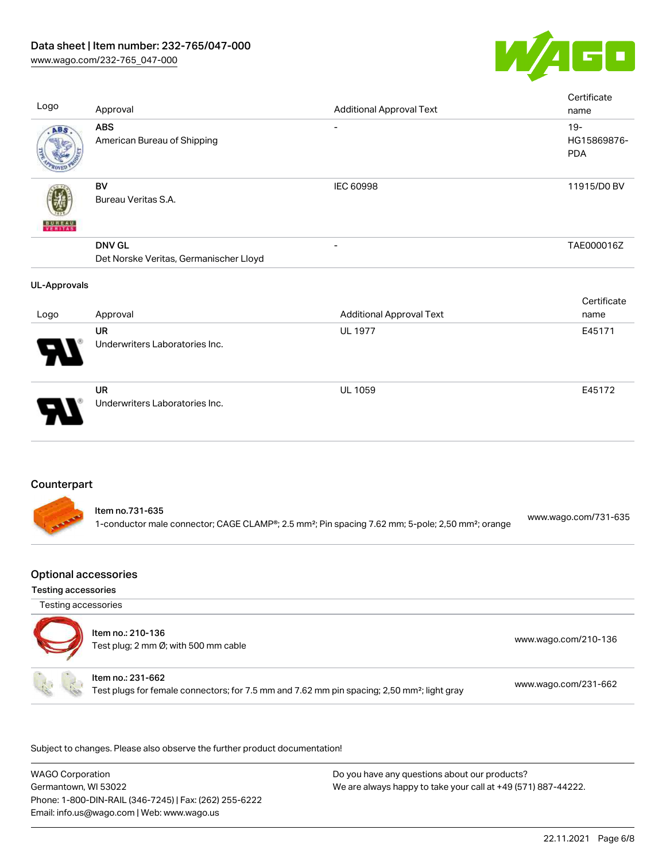

| Logo                | Approval                                                                                                                                     | <b>Additional Approval Text</b> | Certificate<br>name                 |
|---------------------|----------------------------------------------------------------------------------------------------------------------------------------------|---------------------------------|-------------------------------------|
| ABS                 | <b>ABS</b><br>American Bureau of Shipping                                                                                                    |                                 | $19 -$<br>HG15869876-<br><b>PDA</b> |
|                     | <b>BV</b><br>Bureau Veritas S.A.                                                                                                             | IEC 60998                       | 11915/D0 BV                         |
|                     | <b>DNV GL</b><br>Det Norske Veritas, Germanischer Lloyd                                                                                      |                                 | TAE000016Z                          |
| <b>UL-Approvals</b> |                                                                                                                                              |                                 |                                     |
| Logo                | Approval                                                                                                                                     | <b>Additional Approval Text</b> | Certificate<br>name                 |
|                     | <b>UR</b><br>Underwriters Laboratories Inc.                                                                                                  | <b>UL 1977</b>                  | E45171                              |
|                     | <b>UR</b><br>Underwriters Laboratories Inc.                                                                                                  | <b>UL 1059</b>                  | E45172                              |
| Counterpart         |                                                                                                                                              |                                 |                                     |
|                     | Item no.731-635<br>1-conductor male connector; CAGE CLAMP®; 2.5 mm <sup>2</sup> ; Pin spacing 7.62 mm; 5-pole; 2,50 mm <sup>2</sup> ; orange |                                 | www.wago.com/731-635                |

# Optional accessories

Testing accessories

Testing accessories



.<br>Subject to changes. Please also observe the further product documentation!

WAGO Corporation Germantown, WI 53022 Phone: 1-800-DIN-RAIL (346-7245) | Fax: (262) 255-6222 Email: info.us@wago.com | Web: www.wago.us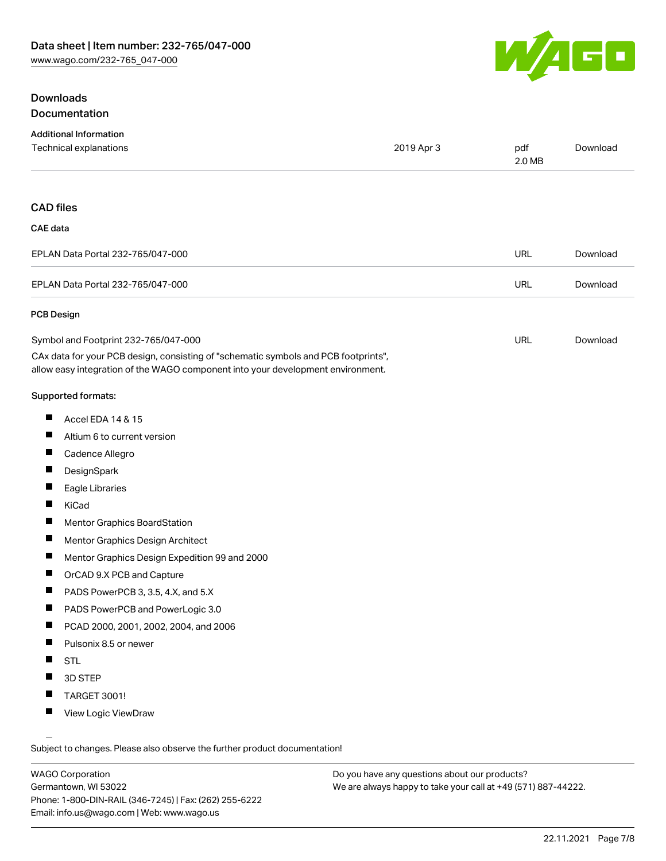### Downloads Documentation



| <b>Additional Information</b>                                                                                                                                          |            |               |          |
|------------------------------------------------------------------------------------------------------------------------------------------------------------------------|------------|---------------|----------|
| <b>Technical explanations</b>                                                                                                                                          | 2019 Apr 3 | pdf<br>2.0 MB | Download |
|                                                                                                                                                                        |            |               |          |
| <b>CAD files</b>                                                                                                                                                       |            |               |          |
| CAE data                                                                                                                                                               |            |               |          |
| EPLAN Data Portal 232-765/047-000                                                                                                                                      |            | <b>URL</b>    | Download |
| EPLAN Data Portal 232-765/047-000                                                                                                                                      |            | <b>URL</b>    | Download |
| PCB Design                                                                                                                                                             |            |               |          |
| Symbol and Footprint 232-765/047-000                                                                                                                                   |            | <b>URL</b>    | Download |
| CAx data for your PCB design, consisting of "schematic symbols and PCB footprints",<br>allow easy integration of the WAGO component into your development environment. |            |               |          |
| <b>Supported formats:</b>                                                                                                                                              |            |               |          |

- $\blacksquare$ Accel EDA 14 & 15
- $\blacksquare$ Altium 6 to current version
- $\blacksquare$ Cadence Allegro
- $\blacksquare$ **DesignSpark**
- $\blacksquare$ Eagle Libraries
- $\blacksquare$ KiCad
- $\blacksquare$ Mentor Graphics BoardStation
- $\blacksquare$ Mentor Graphics Design Architect
- $\blacksquare$ Mentor Graphics Design Expedition 99 and 2000
- $\blacksquare$ OrCAD 9.X PCB and Capture
- $\blacksquare$ PADS PowerPCB 3, 3.5, 4.X, and 5.X
- $\blacksquare$ PADS PowerPCB and PowerLogic 3.0
- PCAD 2000, 2001, 2002, 2004, and 2006  $\blacksquare$
- $\blacksquare$ Pulsonix 8.5 or newer
- $\blacksquare$ STL
- П 3D STEP
- $\blacksquare$ TARGET 3001!
- $\blacksquare$ View Logic ViewDraw

Subject to changes. Please also observe the further product documentation!

WAGO Corporation Germantown, WI 53022 Phone: 1-800-DIN-RAIL (346-7245) | Fax: (262) 255-6222 Email: info.us@wago.com | Web: www.wago.us